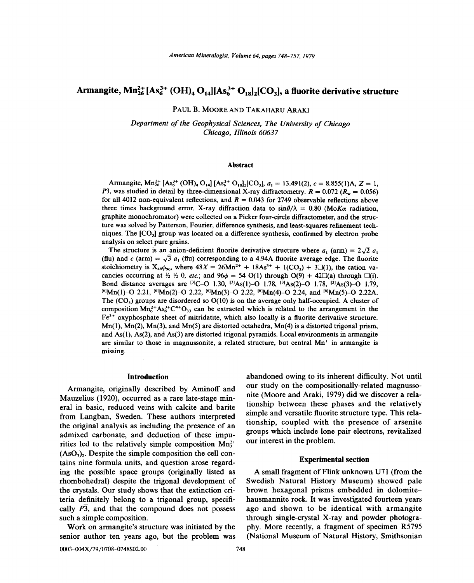# Armangite,  $\text{Mn}_{26}^{2+}[\text{As}_{6}^{3+}(\text{OH})_{4}\text{O}_{14}][\text{As}_{6}^{3+}\text{O}_{18}]$ , CO<sub>3</sub>, a fluorite derivative structure

PAUL B. MOORE AND TAKAHARU ARAKI

*Department of the Geophysical Sciences, The University of Chicago Chicago, Illinois 60637*

#### **Abstract**

Armangite,  $\text{Mn}_{26}^{2+}$  [As<sub>6</sub><sup>3+</sup> (OH)<sub>4</sub> O<sub>14</sub>] [As<sub>6</sub><sup>3+</sup> O<sub>18</sub>]<sub>2</sub>[CO<sub>3</sub>],  $a_1 = 13.491(2)$ ,  $c = 8.855(1)$ A,  $Z = 1$ ,  $\overline{P3}$ , was studied in detail by three-dimensional X-ray diffractometry.  $R = 0.072$  ( $R_w = 0.056$ ) for all 4012 non-equivalent reflections, and  $R = 0.043$  for 2749 observable reflections above three times background error. X-ray diffraction data to  $sin\theta/\lambda = 0.80$  *(MoKa radiation,* graphite monochromator) were collected on a Picker four-circle diffractometer, and the structure was solved by Patterson, Fourier, difference synthesis, and least-squares refinement techniques. The [C03] group was located on a difference synthesis, confirmed by electron probe analysis on select pure grains.

The structure is an anion-deficient fluorite derivative structure where  $a_1$  (arm) =  $2\sqrt{2} a_1$ (flu) and c (arm) =  $\sqrt{3} a_1$  (flu) corresponding to a 4.94A fluorite average edge. The fluorite stoichiometry is  $X_{48}\phi_{96}$ , where  $48X = 26Mn^{2+} + 18As^{3+} + 1(CO_3) + 3\Box(1)$ , the cation vacancies occurring at  $h \nvert h \nvert$  0, *etc.*; and  $96\phi = 54$  O(1) through O(9) + 42 $\Box$ (a) through  $\Box$ (i). Bond distance averages are <sup>[3]</sup>C-O 1.30, <sup>[3]</sup>As(1)-O 1.78, <sup>[3]</sup>As(2)-O 1.78, <sup>[3]</sup>As(3)-O 1.79,  $^{[6]}$ Mn(1)-O 2.21,  $^{[6]}$ Mn(2)-O 2.22,  $^{[6]}$ Mn(3)-O 2.22,  $^{[6]}$ Mn(4)-O 2.24, and  $^{[6]}$ Mn(5)-O 2.22A. The  $(CO<sub>3</sub>)$  groups are disordered so  $O(10)$  is on the average only half-occupied. A cluster of composition  $\text{Mn}_{6}^{2+}\text{As}_{6}^{3+}\text{C}^{4+}\text{O}_{33}$  can be extracted which is related to the arrangement in the  $Fe<sup>3+</sup>$  oxyphosphate sheet of mitridatite, which also locally is a fluorite derivative structure.  $Mn(1)$ ,  $Mn(2)$ ,  $Mn(3)$ , and  $Mn(5)$  are distorted octahedra,  $Mn(4)$  is a distorted trigonal prism, and  $As(1)$ ,  $As(2)$ , and  $As(3)$  are distorted trigonal pyramids. Local environments in armangite are similar to those in magnussonite, a related structure, but central  $Mn<sup>+</sup>$  in armangite is missing.

#### Introduction

Armangite, originally described by Aminoff and Mauzelius (1920), occurred as a rare late-stage mineral in basic, reduced veins with calcite and barite from Langban, Sweden. These authors interpreted the original analysis as including the presence of an admixed carbonate, and deduction of these impurities led to the relatively simple composition  $Mn_3^{2+}$  $(AsO<sub>3</sub>)<sub>2</sub>$ . Despite the simple composition the cell contains nine formula units, and question arose regarding the possible space groups (originally listed as rhombohedral) despite the trigonal development of the crystals. Our study shows that the extinction criteria definitely belong to a trigonal group, specifically  $P\overline{3}$ , and that the compound does not possess such a simple composition.

Work on armangite's structure was initiated by the senior author ten years ago, but the problem was abandoned owing to its inherent difficulty. Not until our study on the compositionally-related magnussonite (Moore and Araki, 1979) did we discover a relationship between these phases and the relatively simple and versatile fluorite structure type. This relationship, coupled with the presence of arsenite groups which include lone pair electrons, revitalized our interest in the problem.

## Experimental section

A small fragment of Flink unknown U71 (from the Swedish Natural History Museum) showed pale brown hexagonal prisms embedded in dolomitehausmannite rock. It was investigated fourteen years ago and shown to be identical with armangite through single-crystal X-ray and powder photography. More recently, a fragment of specimen R5795 (National Museum of Natural History, Smithsonian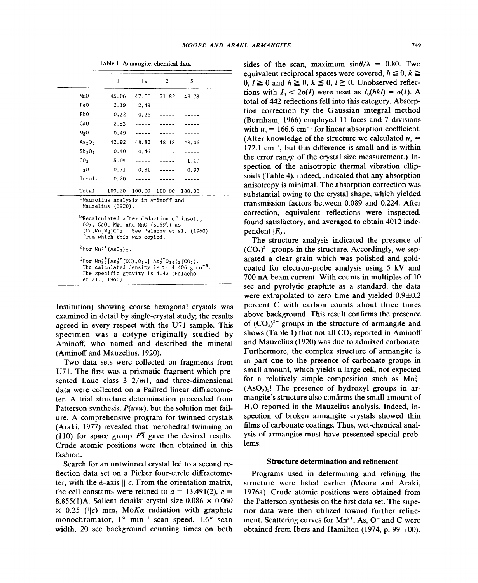|                                | 1                                                                                                                                                                   | $1\sigma$            | $\overline{c}$ | 3                                                             |
|--------------------------------|---------------------------------------------------------------------------------------------------------------------------------------------------------------------|----------------------|----------------|---------------------------------------------------------------|
| MnO                            | 45.06                                                                                                                                                               | 47.06                | 51.82          | 49.78                                                         |
| Fe0                            | 2.19                                                                                                                                                                | 2.49                 |                |                                                               |
| PbO                            | 0.32                                                                                                                                                                | 0.36                 |                |                                                               |
| CaO                            | 2.83                                                                                                                                                                |                      |                |                                                               |
| MgO                            | 0.49                                                                                                                                                                |                      |                |                                                               |
| As <sub>2</sub> O <sub>3</sub> | 42.92                                                                                                                                                               | 48.82                | 48.18          | 48.06                                                         |
| $Sb_2O_3$                      |                                                                                                                                                                     | $0.40 \qquad 0.46$   | $\frac{1}{2}$  |                                                               |
| CO <sub>2</sub>                | 5.08                                                                                                                                                                |                      | $\frac{1}{2}$  | 1.19                                                          |
| H <sub>2</sub> O               | 0.71                                                                                                                                                                | 0.81                 |                | 0.97                                                          |
| Insol.                         | 0.20                                                                                                                                                                |                      |                |                                                               |
| Total                          |                                                                                                                                                                     | 100,20 100.00 100.00 |                | 100.00                                                        |
|                                | <sup>1</sup> Mauzelius analysis in Aminoff and<br>Mauzelius (1920).                                                                                                 |                      |                |                                                               |
|                                | <sup>lo</sup> Recalculated after deduction of insol.,<br>$CO2$ , CaO, MgO and MnO $(3.69%)$ as<br>from which this was copied.                                       |                      |                | $(Ca, Mn, Mg)CO3$ . See Palache et al. (1960)                 |
|                                | <sup>2</sup> For $Mn_3^{2+}(AsO_3)_2$ .                                                                                                                             |                      |                |                                                               |
|                                | $3$ For $Mn_2^2$ [As <sup>3+</sup> (OH) $4014$ ] [As <sup>3+</sup> 018] <sub>2</sub> (CO <sub>3</sub> ).<br>The specific gravity is 4.43 (Palache<br>et al., 1960). |                      |                | The calculated density is $\rho = 4.406$ g cm <sup>-3</sup> . |

Table I. Armangite: chemical data

Institution) showing coarse hexagonal crystals was examined in detail by single-crystal study; the results agreed in every respect with the U71 sample. This specimen was a cotype originally studied by Aminoff, who named and described the mineral (Aminoff and Mauzelius, 1920).

Two data sets were collected on fragments from U71. The first was a prismatic fragment which presented Laue class  $\overline{3}$   $2/m!$ , and three-dimensional data were collected on a Pailred linear diffractometer. A trial structure determination proceeded from Patterson synthesis, *P(uvw),* but the solution met failure. A comprehensive program for twinned crystals (Araki, 1977) revealed that merohedral twinning on (110) for space group  $\overline{P3}$  gave the desired results. Crude atomic positions were then obtained in this fashion.

Search for an untwinned crystal led to a second reflection data set on a Picker four-circle diffractometer, with the  $\phi$ -axis  $\parallel$  c. From the orientation matrix, the cell constants were refined to  $a = 13.491(2)$ ,  $c =$ 8.855(1)A. Salient details: crystal size  $0.086 \times 0.060$  $\times$  0.25 (||c) mm, MoKa radiation with graphite monochromator,  $1^{\circ}$  min<sup>-1</sup> scan speed,  $1.6^{\circ}$  scan width, 20 sec background counting times on both

sides of the scan, maximum  $\sin\theta/\lambda = 0.80$ . Two equivalent reciprocal spaces were covered,  $h \leq 0, k \geq 0$  $0, l \ge 0$  and  $h \ge 0, k \le 0, l \ge 0$ . Unobserved reflections with  $I_0 < 2\sigma(I)$  were reset as  $I_0(hkl) = \sigma(I)$ . A total of 442 reflections fell into this category. Absorption correction by the Gaussian integral method (Burnham, 1966) employed II faces and 7 divisions with  $u_a = 166.6$  cm<sup>-1</sup> for linear absorption coefficient. (After knowledge of the structure we calculated  $u_a =$  $172.1 \text{ cm}^{-1}$ , but this difference is small and is within the error range of the crystal size measurement.) Inspection of the anisotropic thermal vibration ellipsoids (Table 4), indeed, indicated that any absorption anisotropy is minimal. The absorption correction was substantial owing to the crystal shape, which yielded transmission factors between 0.089 and 0.224. After correction, equivalent reflections were inspected, found satisfactory, and averaged to obtain 4012 independent  $|F_0|$ .

The structure analysis indicated the presence of  $(CO<sub>3</sub>)<sup>2-</sup>$  groups in the structure. Accordingly, we separated a clear grain which was polished and goldcoated for electron-probe analysis using 5 kV and 700 nA beam current. With counts in multiples of 10 sec and pyrolytic graphite as a standard, the data were extrapolated to zero time and yielded  $0.9\pm0.2$ percent C with carbon counts about three times above background. This result confirms the presence of  $(CO<sub>3</sub>)<sup>2-</sup>$  groups in the structure of armangite and shows (Table 1) that not all  $CO<sub>2</sub>$  reported in Aminoff and Mauzelius (1920) was due to admixed carbonate. Furthermore, the complex structure of armangite is in part due to the presence of carbonate groups in small amount, which yields a large cell, not expected for a relatively simple composition such as  $Mn_3^{2+}$  $(AsO<sub>3</sub>)<sub>2</sub>$ ! The presence of hydroxyl groups in armangite's structure also confirms the small amount of H<sub>2</sub>O reported in the Mauzelius analysis. Indeed, inspection of broken armangite crystals showed thin films of carbonate coatings. Thus, wet-chemical analysis of armangite must have presented special problems.

#### Structure determination and refinement

Programs used in determining and refining the structure were listed earlier (Moore and Araki, 1976a). Crude atomic positions were obtained from the Patterson synthesis on the first data set. The superior data were then utilized toward further refinement. Scattering curves for  $Mn^{2+}$ , As, O<sup>-</sup> and C were obtained from Ibers and Hamilton (1974, p. 99-100).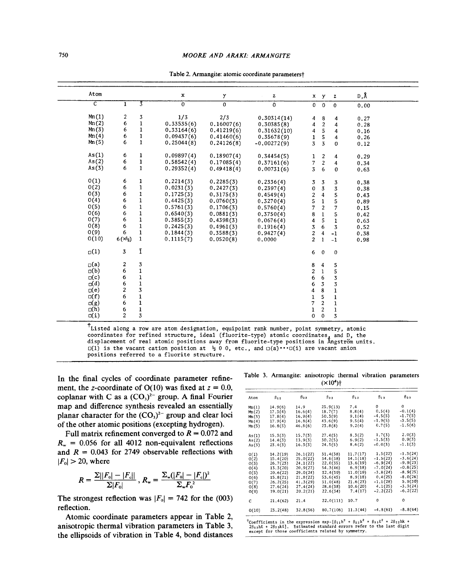| $\mathbf{1}$<br>2<br>6 | $\overline{3}$<br>3                                      | $\mathbf x$<br>$\overline{0}$                                                                                                                              | у<br>$\mathbf 0$                                                                                                                 | z                                                                                                                                                            |                                                                                                                                                                            | $x \ y$                                                                                                                                                                                                                         | z                                                                                                                                                                                                                                                                                                                                         | D,Å                                                                                                                                                                                                                           |
|------------------------|----------------------------------------------------------|------------------------------------------------------------------------------------------------------------------------------------------------------------|----------------------------------------------------------------------------------------------------------------------------------|--------------------------------------------------------------------------------------------------------------------------------------------------------------|----------------------------------------------------------------------------------------------------------------------------------------------------------------------------|---------------------------------------------------------------------------------------------------------------------------------------------------------------------------------------------------------------------------------|-------------------------------------------------------------------------------------------------------------------------------------------------------------------------------------------------------------------------------------------------------------------------------------------------------------------------------------------|-------------------------------------------------------------------------------------------------------------------------------------------------------------------------------------------------------------------------------|
|                        |                                                          |                                                                                                                                                            |                                                                                                                                  |                                                                                                                                                              |                                                                                                                                                                            |                                                                                                                                                                                                                                 |                                                                                                                                                                                                                                                                                                                                           |                                                                                                                                                                                                                               |
|                        |                                                          |                                                                                                                                                            |                                                                                                                                  | 0                                                                                                                                                            |                                                                                                                                                                            | $0 \quad 0$                                                                                                                                                                                                                     | $\Omega$                                                                                                                                                                                                                                                                                                                                  | 0.00                                                                                                                                                                                                                          |
|                        |                                                          | 1/3                                                                                                                                                        | 2/3                                                                                                                              | 0,30314(14)                                                                                                                                                  | 4                                                                                                                                                                          | 8                                                                                                                                                                                                                               | 4                                                                                                                                                                                                                                                                                                                                         | 0.27                                                                                                                                                                                                                          |
|                        | $\mathbf 1$                                              | 0.33535(6)                                                                                                                                                 | 0.16007(6)                                                                                                                       | 0.30385(8)                                                                                                                                                   | 4                                                                                                                                                                          | $\overline{2}$                                                                                                                                                                                                                  | 4                                                                                                                                                                                                                                                                                                                                         | 0.28                                                                                                                                                                                                                          |
|                        | $\mathbf{1}$                                             | 0.33164(6)                                                                                                                                                 | 0.41219(6)                                                                                                                       |                                                                                                                                                              |                                                                                                                                                                            |                                                                                                                                                                                                                                 |                                                                                                                                                                                                                                                                                                                                           | 0.16                                                                                                                                                                                                                          |
| 6                      | $\mathbf{1}$                                             |                                                                                                                                                            |                                                                                                                                  |                                                                                                                                                              |                                                                                                                                                                            |                                                                                                                                                                                                                                 |                                                                                                                                                                                                                                                                                                                                           | 0.26                                                                                                                                                                                                                          |
|                        | $\mathbf{1}$                                             | 0.25044(8)                                                                                                                                                 | 0.24126(8)                                                                                                                       | $-0.00272(9)$                                                                                                                                                | 3                                                                                                                                                                          | $\overline{3}$                                                                                                                                                                                                                  | $\Omega$                                                                                                                                                                                                                                                                                                                                  | 0.12                                                                                                                                                                                                                          |
| 6                      | 1                                                        | 0.09897(4)                                                                                                                                                 |                                                                                                                                  |                                                                                                                                                              |                                                                                                                                                                            |                                                                                                                                                                                                                                 |                                                                                                                                                                                                                                                                                                                                           | 0.29                                                                                                                                                                                                                          |
| 6                      |                                                          |                                                                                                                                                            |                                                                                                                                  |                                                                                                                                                              |                                                                                                                                                                            |                                                                                                                                                                                                                                 |                                                                                                                                                                                                                                                                                                                                           | 0.34                                                                                                                                                                                                                          |
| 6                      | $\mathbf{1}$                                             | 0.29352(4)                                                                                                                                                 | 0.49418(4)                                                                                                                       | 0.00731(6)                                                                                                                                                   | 3                                                                                                                                                                          | 6                                                                                                                                                                                                                               | $\bf{0}$                                                                                                                                                                                                                                                                                                                                  | 0.63                                                                                                                                                                                                                          |
| 6                      | ı                                                        |                                                                                                                                                            |                                                                                                                                  |                                                                                                                                                              |                                                                                                                                                                            |                                                                                                                                                                                                                                 |                                                                                                                                                                                                                                                                                                                                           | 0.38                                                                                                                                                                                                                          |
| 6                      | $\mathbf 1$                                              | 0.0231(3)                                                                                                                                                  |                                                                                                                                  |                                                                                                                                                              |                                                                                                                                                                            |                                                                                                                                                                                                                                 |                                                                                                                                                                                                                                                                                                                                           | 0.38                                                                                                                                                                                                                          |
| 6                      | $\mathbf{I}% _{T}=\mathbf{I}_{T}\cup\mathbf{I}_{T}$      |                                                                                                                                                            |                                                                                                                                  |                                                                                                                                                              |                                                                                                                                                                            |                                                                                                                                                                                                                                 |                                                                                                                                                                                                                                                                                                                                           | 0.43                                                                                                                                                                                                                          |
| 6                      |                                                          |                                                                                                                                                            |                                                                                                                                  |                                                                                                                                                              |                                                                                                                                                                            |                                                                                                                                                                                                                                 |                                                                                                                                                                                                                                                                                                                                           | 0.89                                                                                                                                                                                                                          |
| 6                      | $\mathbf 1$                                              |                                                                                                                                                            |                                                                                                                                  |                                                                                                                                                              |                                                                                                                                                                            |                                                                                                                                                                                                                                 |                                                                                                                                                                                                                                                                                                                                           | 0.15                                                                                                                                                                                                                          |
|                        |                                                          |                                                                                                                                                            |                                                                                                                                  |                                                                                                                                                              |                                                                                                                                                                            |                                                                                                                                                                                                                                 |                                                                                                                                                                                                                                                                                                                                           | 0.42                                                                                                                                                                                                                          |
| 6                      |                                                          |                                                                                                                                                            |                                                                                                                                  |                                                                                                                                                              |                                                                                                                                                                            |                                                                                                                                                                                                                                 |                                                                                                                                                                                                                                                                                                                                           | 0.63                                                                                                                                                                                                                          |
| 6                      | $\mathbf 1$                                              |                                                                                                                                                            |                                                                                                                                  |                                                                                                                                                              |                                                                                                                                                                            |                                                                                                                                                                                                                                 |                                                                                                                                                                                                                                                                                                                                           | 0.52                                                                                                                                                                                                                          |
| 6                      | $\mathbf{1}$                                             |                                                                                                                                                            |                                                                                                                                  |                                                                                                                                                              |                                                                                                                                                                            |                                                                                                                                                                                                                                 |                                                                                                                                                                                                                                                                                                                                           | 0.38                                                                                                                                                                                                                          |
| $6(x_2)$               | $\mathbf 1$                                              | 0,1115(7)                                                                                                                                                  | 0.0520(8)                                                                                                                        | 0,0000                                                                                                                                                       | $\overline{c}$                                                                                                                                                             | $\mathbf{1}$                                                                                                                                                                                                                    | $-1$                                                                                                                                                                                                                                                                                                                                      | 0.98                                                                                                                                                                                                                          |
| $\overline{3}$         | ī                                                        |                                                                                                                                                            |                                                                                                                                  |                                                                                                                                                              | 6                                                                                                                                                                          | $\mathbf 0$                                                                                                                                                                                                                     | $\bf{0}$                                                                                                                                                                                                                                                                                                                                  |                                                                                                                                                                                                                               |
|                        |                                                          |                                                                                                                                                            |                                                                                                                                  |                                                                                                                                                              |                                                                                                                                                                            |                                                                                                                                                                                                                                 |                                                                                                                                                                                                                                                                                                                                           |                                                                                                                                                                                                                               |
| 6                      |                                                          |                                                                                                                                                            |                                                                                                                                  |                                                                                                                                                              |                                                                                                                                                                            |                                                                                                                                                                                                                                 |                                                                                                                                                                                                                                                                                                                                           |                                                                                                                                                                                                                               |
|                        |                                                          |                                                                                                                                                            |                                                                                                                                  |                                                                                                                                                              |                                                                                                                                                                            |                                                                                                                                                                                                                                 |                                                                                                                                                                                                                                                                                                                                           |                                                                                                                                                                                                                               |
|                        |                                                          |                                                                                                                                                            |                                                                                                                                  |                                                                                                                                                              |                                                                                                                                                                            |                                                                                                                                                                                                                                 |                                                                                                                                                                                                                                                                                                                                           |                                                                                                                                                                                                                               |
|                        |                                                          |                                                                                                                                                            |                                                                                                                                  |                                                                                                                                                              |                                                                                                                                                                            |                                                                                                                                                                                                                                 |                                                                                                                                                                                                                                                                                                                                           |                                                                                                                                                                                                                               |
|                        |                                                          |                                                                                                                                                            |                                                                                                                                  |                                                                                                                                                              |                                                                                                                                                                            |                                                                                                                                                                                                                                 |                                                                                                                                                                                                                                                                                                                                           |                                                                                                                                                                                                                               |
| 6                      | $\mathbf{1}$                                             |                                                                                                                                                            |                                                                                                                                  |                                                                                                                                                              |                                                                                                                                                                            |                                                                                                                                                                                                                                 |                                                                                                                                                                                                                                                                                                                                           |                                                                                                                                                                                                                               |
|                        |                                                          |                                                                                                                                                            |                                                                                                                                  |                                                                                                                                                              |                                                                                                                                                                            |                                                                                                                                                                                                                                 |                                                                                                                                                                                                                                                                                                                                           |                                                                                                                                                                                                                               |
| $\overline{c}$         | 3                                                        |                                                                                                                                                            |                                                                                                                                  |                                                                                                                                                              | 0                                                                                                                                                                          | 0                                                                                                                                                                                                                               | 3                                                                                                                                                                                                                                                                                                                                         |                                                                                                                                                                                                                               |
|                        | 6<br>6<br>6<br>2<br>6<br>6<br>$\boldsymbol{2}$<br>6<br>6 | $\mathbf 1$<br>$\mathbf 1$<br>$\mathbf 1$<br>$\mathbf 1$<br>3<br>$\mathbf{1}$<br>1<br>$\mathbf 1$<br>$\overline{\mathbf{3}}$<br>$\mathbf 1$<br>$\mathbf 1$ | 0.09437(6)<br>0,58542(4)<br>0.2214(3)<br>0.1725(3)<br>0.4425(3)<br>0.5761(3)<br>0.6540(3)<br>0.3855(3)<br>0.2425(3)<br>0.1844(3) | 0,41460(6)<br>0.18907(4)<br>0.17085(4)<br>0.2285(3)<br>0, 2427(3)<br>0,3175(3)<br>0.0760(3)<br>0.1706(3)<br>0.0881(3)<br>0.4398(3)<br>0.4961(3)<br>0.3588(3) | 0,31632(10)<br>0.35678(9)<br>0,34454(5)<br>0.37161(6)<br>0,2336(4)<br>0,2397(4)<br>0,4549(4)<br>0.3270(4)<br>0.5760(4)<br>0,3750(4)<br>0.0676(4)<br>0.1916(4)<br>0.9427(4) | $\overline{4}$<br>$\mathbf{1}$<br>$\mathbf{1}$<br>$\overline{7}$<br>3<br>0<br>$\boldsymbol{2}$<br>5<br>$\overline{7}$<br>8<br>4<br>3<br>$\mathbf 2$<br>8<br>$\overline{c}$<br>6<br>6<br>4<br>$\mathbf 1$<br>$\overline{7}$<br>1 | $\overline{\mathbf{5}}$<br>5<br>$\overline{c}$<br>$\overline{c}$<br>$\overline{\mathbf{3}}$<br>$\overline{\mathbf{3}}$<br>$\overline{\mathbf{4}}$<br>1<br>$\overline{c}$<br>$\mathbf{1}$<br>5<br>6<br>$\overline{\mathbf{4}}$<br>4<br>$\mathbf{1}$<br>6<br>$\overline{\mathbf{3}}$<br>8<br>5<br>$\overline{\mathbf{c}}$<br>$\overline{c}$ | $\overline{4}$<br>4<br>$\overline{4}$<br>$\overline{4}$<br>3<br>3<br>5<br>5<br>$\overline{7}$<br>5<br>$\mathbf{1}$<br>3<br>$-1$<br>5<br>5<br>$\overline{3}$<br>3<br>$\mathbf{1}$<br>$\mathbf 1$<br>$\mathbf 1$<br>$\mathbf 1$ |

Table 2. Armangite: atomic coordinate parameterst

 $t$ Listed along a row are atom designation, equipoint rank number, point symmetry, atomic coordinates for refined structure, ideal (fluorite-type) atomic coordinates, and D, the displacement of real atomic positions away from fluorite-type positions in Angström units.  $\Box(1)$  is the vacant cation position at  $\frac{1}{2}$  0 0, etc., and  $\Box(a) \cdots \Box(i)$  are vacant anion positions referred to a fluorite structure.

ment, the z-coordinate of  $O(10)$  was fixed at  $z = 0.0$ , coplanar with C as a  $(CO<sub>3</sub>)<sup>2-</sup>$  group. A final Fourier map and difference synthesis revealed an essentially planar character for the  $(CO<sub>3</sub>)<sup>2-</sup>$  group and clear loci of the other atomic positions (excepting hydrogen).

$$
R = \frac{\sum ||F_0| - |F_c||}{\sum |F_0|}, R_w = \frac{\sum_w (|F_0| - |F_c|)^2}{\sum_w F_0^2}
$$

Atomic coordinate parameters appear in Table 2, anisotropic thermal vibration parameters in Table 3,  $\frac{t_{\text{Coefficients in the expression exp-[6]1h}^2 + B_2x^2 + B_3x^2 + 2B_1xh}}{2B_1xh}$ <br>except for those coefficients related by symmetry. the ellipsoids of vibration in Table 4, bond distances

In the final cycles of coordinate parameter refine-<br>
Table 3. Armangite: anisotropic thermal vibration parameters

| III the final cycles of coordinate parameter refine-                                                   |                |                      |                        | $(x104)+$            |                      |                           |                           |
|--------------------------------------------------------------------------------------------------------|----------------|----------------------|------------------------|----------------------|----------------------|---------------------------|---------------------------|
| ment, the z-coordinate of $O(10)$ was fixed at $z = 0.0$ ,                                             |                |                      |                        |                      |                      |                           |                           |
| coplanar with C as a $(CO3)2$ group. A final Fourier                                                   | Atom           | $\beta_{11}$         | $\beta_{22}$           | $\beta_{33}$         | $\beta_{12}$         | $\beta_{13}$              | $\beta_{23}$              |
| map and difference synthesis revealed an essentially                                                   | Mn(1)          | 14.9(6)              | 14.9                   | 25.9(13)             | 7.4                  | 0                         | $\Omega$                  |
| planar character for the $(CO3)2$ group and clear loci                                                 | Mn(2)<br>Mn(3) | 17.3(4)<br>17.8(4)   | 16.6(4)<br>16.9(4)     | 18,7(7)<br>50.3(9)   | 8.8(4)<br>9.1(4)     | 0.5(4)<br>$-4.5(5)$       | $-0.1(4)$<br>$-1.7(5)$    |
| of the other atomic positions (excepting hydrogen).                                                    | Mn(4)<br>Mn(5) | 17.9(4)<br>16.8(5)   | 16.8(4)<br>46,8(6)     | 43.6(9)<br>23.8(8)   | 9.5(4)<br>9.2(4)     | $-1, 9(5)$<br>0.7(5)      | $-3.5(5)$<br>$-1.5(6)$    |
| Full matrix refinement converged to $R = 0.072$ and                                                    | As(1)          | 15, 3(3)             | 15.7(3)                | 27.4(5)              | 8.3(2)               | 1.7(3)                    | 2.0(3)                    |
| $R_{\rm w}$ = 0.056 for all 4012 non-equivalent reflections                                            | As(2)<br>As(3) | 14.4(3)<br>23.4(3)   | 13, 9(3)<br>16.3(3)    | 30.2(5)<br>24.5(5)   | 6.9(2)<br>8.6(2)     | $-1.5(3)$<br>$-0.0(3)$    | 0.9(3)<br>$-1.1(3)$       |
| and $R = 0.043$ for 2749 observable reflections with                                                   | 0(1)           | 14,2(19)             | 26.1(22)               | 31.4(38)             | 11.7(17)             | 1.5(22)                   | $-1, 3(24)$               |
| $ F_{0}  > 20$ , where                                                                                 | O(2)<br>O(3)   | 15.4(20)<br>26.7(23) | 25,0(22)<br>24, 1(22)  | 34.6(38)<br>22.0(35) | 14.1(18)<br>13.6(19) | $-1.5(23)$<br>$-6, 9(24)$ | $-3.6(24)$<br>$-9.9(23)$  |
|                                                                                                        | O(4)<br>0(5)   | 13.3(20)<br>20.6(22) | 20, 9(22)<br>29.0(24)  | 54.3(46)<br>32,4(39) | 6.9(18)<br>11,0(19)  | $-7.0(24)$<br>$-3.8(24)$  | $-0.8(25)$<br>$-8, 9(25)$ |
| $R = \frac{\sum   F_0  -  F_c  }{\sum  F_c }, R_w = \frac{\sum_{w} ( F_0  -  F_c )^2}{\sum_{w} F_c^2}$ | O(6)<br>O(7)   | 15.8(21)<br>26.2(25) | 21,8(22)<br>41, 3 (29) | 53.6(45)<br>51.0(48) | 8.9(18)<br>21,6(23)  | 0.4(25)<br>$-1, 1(28)$    | $-8.0(26)$<br>5.9(30)     |
|                                                                                                        | O(8)<br>O(9)   | 27.6(24)<br>19.0(21) | 27.4(24)<br>20.2(21)   | 28.6(38)<br>22.6(34) | 10.6(20)<br>7.4(17)  | 4.1(25)<br>$-2, 2(22)$    | $-3.3(24)$<br>$-6.2(22)$  |
| The strongest reflection was $ F_0  = 742$ for the (003)                                               | $\mathbf{C}$   | 21,4(62)             | 21.4                   | 22.0(111)            | 10.7                 | 0                         | $\mathbf{0}$              |
| reflection.                                                                                            | 0(10)          | 23.2(48)             | 32.8(56)               | 80,7(106)            | 11.3(44)             | $-4.8(61)$                | $-8.8(64)$                |
| Atomic coordinate parameters appear in Table 2                                                         |                |                      |                        |                      |                      |                           |                           |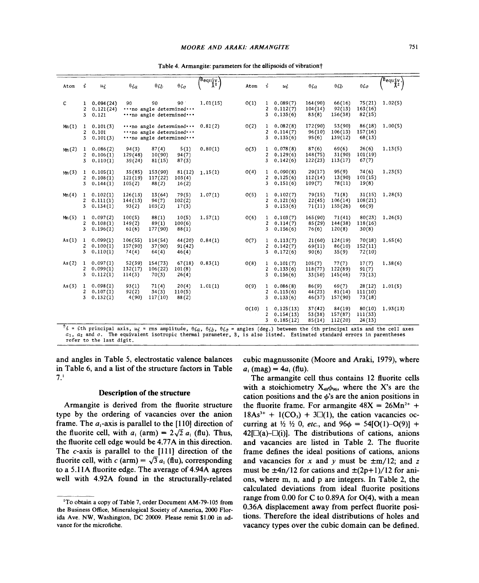| Atom  | i                         | $u_i$                            | $\theta ia$                  | $\theta_{ib}$                                                                       | $\theta_{ic}$              | $\begin{pmatrix} \text{Bequiv} \\ \text{Bequiv} \\ \text{A}^2 \end{pmatrix}$ | Atom  | i                                 | ui                                  | $\theta ia$                 | $\theta ib$                  | $\theta{ic}$                | $\binom{\text{B}$ equiv. |
|-------|---------------------------|----------------------------------|------------------------------|-------------------------------------------------------------------------------------|----------------------------|------------------------------------------------------------------------------|-------|-----------------------------------|-------------------------------------|-----------------------------|------------------------------|-----------------------------|--------------------------|
| C     | 1.<br>$\overline{a}$<br>3 | 0.094(24)<br>0.121(24)<br>0.121  | 90                           | 90<br>$\cdots$ no angle determined $\cdots$<br>no angle determined                  | 90 <sup>o</sup>            | 1,01(15)                                                                     | 0(1)  | 1<br>2<br>3                       | 0.089(7)<br>0.112(7)<br>0.135(6)    | 164(90)<br>104(14)<br>83(8) | 66(16)<br>92(13)<br>156(38)  | 75(21)<br>163(16)<br>82(15) | 1.02(5)                  |
| Mn(1) | $\mathbf{1}$<br>2<br>3    | 0.101(3)<br>0.101<br>0.101(3)    |                              | $\cdots$ no angle determined $\cdots$<br>no angle determined<br>no angle determined |                            | 0.81(2)                                                                      | 0(2)  | 1<br>2<br>3                       | 0.082(8)<br>0.114(7)<br>0.135(6)    | 172(90)<br>96(10)<br>95(6)  | 53(90)<br>106(13)<br>139(12) | 86(18)<br>157(16)<br>68(13) | 1,00(5)                  |
| Mm(2) | 1<br>$\overline{c}$<br>3  | 0.086(2)<br>0.106(1)<br>0.110(1) | 94(3)<br>129(48)<br>39(24)   | 87(4)<br>10(90)<br>81(15)                                                           | 5(1)<br>94(7)<br>87(3)     | 0.80(1)                                                                      | O(3)  | 1<br>2<br>3                       | 0.078(8)<br>0.129(6)<br>0.142(6)    | 87(6)<br>148(75)<br>122(23) | 69(6)<br>31(90)<br>113(17)   | 26(6)<br>101(19)<br>67(7)   | 1.13(5)                  |
| Mm(3) | $\mathbf{1}$<br>2<br>3    | 0.105(1)<br>0.108(1)<br>0.144(1) | 35 (85)<br>121(19)<br>105(2) | 153(90)<br>117(22)<br>88(2)                                                         | 81(12)<br>103(4)<br>16(2)  | 1.15(1)                                                                      | O(4)  | 1<br>$\overline{\mathbf{c}}$<br>3 | 0,090(8)<br>0, 125(6)<br>0.151(6)   | 29(17)<br>112(14)<br>109(7) | 95(9)<br>13(90)<br>78(11)    | 74(6)<br>101(15)<br>19(8)   | 1,23(5)                  |
| Mn(4) | 1<br>2<br>3               | 0.102(1)<br>0.111(1)<br>0.134(1) | 126(13)<br>144(13)<br>93(2)  | 13(64)<br>94(7)<br>103(2)                                                           | 79(5)<br>102(2)<br>17(3)   | 1.07(1)                                                                      | 0(5)  | 1<br>$\overline{\mathbf{c}}$<br>3 | 0.102(7)<br>0,121(6)<br>0.153(6)    | 79(15)<br>22(45)<br>71(11)  | 71(8)<br>106(14)<br>155(26)  | 31(15)<br>108(21)<br>66(9)  | 1,28(5)                  |
| Mn(5) | $\mathbf{1}$<br>2<br>3    | 0.097(2)<br>0.108(1)<br>0.196(1) | 100(5)<br>149(2)<br>61(6)    | 88(1)<br>89(1)<br>177(90)                                                           | 10(5)<br>100(6)<br>88(1)   | 1.57(1)                                                                      | 0(6)  | 1<br>$\overline{c}$<br>3          | 0.103(7)<br>0.114(7)<br>0.156(6)    | 165(90)<br>85 (29)<br>76(6) | 71(41)<br>144(38)<br>120(8)  | 80(23)<br>118(16)<br>30(8)  | 1,26(5)                  |
| As(1) | $\mathbf{1}$<br>2<br>3    | 0.099(1)<br>0.100(1)<br>0.110(1) | 106(55)<br>157(90)<br>74(4)  | 114(54)<br>37(90)<br>64(4)                                                          | 44 (20)<br>91(42)<br>46(4) | 0.84(1)                                                                      | O(7)  | $\mathbf{1}$<br>2<br>3            | 0.113(7)<br>0.142(7)<br>0,172(6)    | 21(60)<br>69(11)<br>90(6)   | 124(19)<br>86(10)<br>35(9)   | 70(18)<br>152(11)<br>72(10) | 1,65(6)                  |
| As(2) | $\mathbf{I}$<br>2<br>3    | 0.097(1)<br>0.099(1)<br>0.112(1) | 52(39)<br>132(17)<br>114(3)  | 154(73)<br>106(22)<br>70(3)                                                         | 67(18)<br>101(8)<br>26(4)  | 0.83(1)                                                                      | O(8)  | 1<br>2<br>3                       | 0.101(7)<br>0.133(6)<br>0.156(6)    | 105(7)<br>118(77)<br>33(50) | 77(7)<br>122(89)<br>145 (46) | 17(7)<br>91(7)<br>73(13)    | 1.38(6)                  |
| As(3) | $\mathbf{1}$<br>2<br>3    | 0.098(1)<br>0.107(1)<br>0.132(1) | 93(1)<br>92(2)<br>4(90)      | 71(4)<br>34(3)<br>117(10)                                                           | 20(4)<br>110(5)<br>88(2)   | 1.01(1)                                                                      | O(9)  | $\mathbf{1}$<br>2<br>3            | 0.086(8)<br>0.115(6)<br>0.133(6)    | 86(9)<br>44 (23)<br>46(37)  | 69(7)<br>81(14)<br>157(90)   | 28(12)<br>111(10)<br>73(18) | 1.01(5)                  |
| ∓     |                           |                                  |                              |                                                                                     |                            |                                                                              | 0(10) | 1<br>2<br>3                       | 0,125(13)<br>0.154(13)<br>0.185(12) | 37(42)<br>53(38)<br>85(14)  | 84(19)<br>157(87)<br>112(20) | 80(10)<br>111(33)<br>24(13) | 1,93(13)                 |

 $^{\dagger}$ *i* = *i*th principal axis,  $u_i$  = rms amplitude,  $\theta_{ia}$ ,  $\theta_{ib}$ ,  $\theta_{ic}$  = angles (deg.) between the *i*th principal axis and the cell axes  $a_1$ ,  $a_2$  and  $c$ . The equivalent isotropic thermal parameter, B, is also listed. Estimated standard errors in parentheses refer to the last digit.

and angles in Table 5, electrostatic valence balances in Table 6, and a list of the structure factors in Table 7.'

## Description of the structure

Armangite is derived from the fluorite structure type by the ordering of vacancies over the anion frame. The  $a_1$ -axis is parallel to the [110] direction of the fluorite cell, with  $a_1$  (arm) =  $2\sqrt{2} a_1$  (flu). Thus, the fluorite cell edge would be 4.77A in this direction. The c-axis is parallel to the [Ill] direction of the fluorite cell, with  $c \text{ (arm)} = \sqrt{3} a_1 \text{ (flu)}$ , corresponding to a 5.11A fluorite edge. The average of 4.94A agrees well with 4.92A found in the structurally-related

cubic magnussonite (Moore and Araki, 1979), where  $a_i$  (mag) =  $4a_i$  (flu).

The armangite cell thus contains 12 fluorite cells with a stoichiometry  $X_{48}\phi_{96}$ , where the X's are the cation positions and the  $\phi$ 's are the anion positions in the fluorite frame. For armangite  $48X = 26Mn^{2+} +$  $18As^{3+} + 1(CO_3) + 3\Box(1)$ , the cation vacancies occurring at  $\frac{1}{2}$   $\frac{1}{2}$  0, *etc.*, and  $96\phi = 54[O(1)-O(9)] +$  $42$ [ $\Box$ (a)- $\Box$ (i)]. The distributions of cations, anions and vacancies are listed in Table 2. The fluorite frame defines the ideal positions of cations, anions and vacancies for x and y must be  $\pm m/12$ ; and z must be  $\pm 4n/12$  for cations and  $\pm (2p+1)/12$  for anions, where m, n, and p are integers. In Table 2, the calculated deviations from ideal fluorite positions range from  $0.00$  for C to  $0.89A$  for  $O(4)$ , with a mean 0.36A displacement away from perfect fluorite positions. Therefore the ideal distributions of holes and vacancy types over the cubic domain can be defined.

<sup>&#</sup>x27;To obtain a copy of Table 7, order Document AM-79-105 from the Business Office, Mineralogical Society of America, 2000 Florida Ave. NW, Washington. DC 20009. Please remit \$1.00 in advance for the microfiche.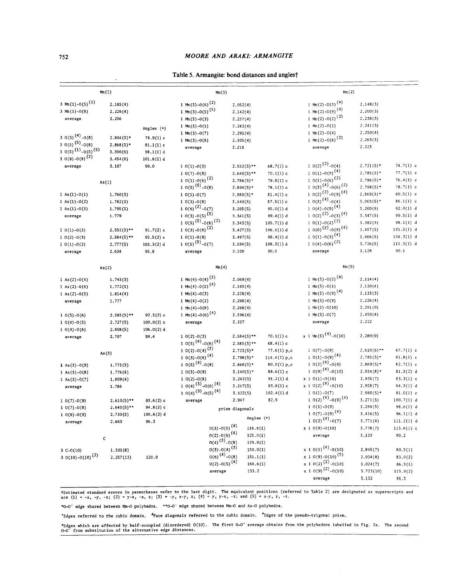## **752** *MOORE AND ARAKI: ARMANGITE*

| Table 5. Armangite: bond distances and angles† |  |  |  |  |
|------------------------------------------------|--|--|--|--|
|------------------------------------------------|--|--|--|--|

|                              | Mn(1)         |              | Mn(3)                                           |                 |                 | Mn(2)                                                    |              |              |
|------------------------------|---------------|--------------|-------------------------------------------------|-----------------|-----------------|----------------------------------------------------------|--------------|--------------|
| 3 Mn(1)-0(5) <sup>(1)</sup>  | 2.185(4)      |              | 1 Mm(3)-0(6) <sup>(2)</sup>                     | 2,052(4)        |                 | 1 Mn(2)-0(3) <sup>(4)</sup>                              | 2.148(3)     |              |
| $3 \text{ Mn}(1) - O(8)$     | 2.226(4)      |              | 1 Mn(3)-0(5) <sup>(5)</sup>                     | 2.142(4)        |                 | 1 Mn(2)-0(9) <sup>(4)</sup>                              | 2,200(3)     |              |
| average                      | 2,206         |              | $1 Mn(3)-O(3)$                                  | 2.237(4)        |                 | 1 Mm (2) - 0(2) <sup>(2)</sup>                           | 2.238(3)     |              |
|                              |               |              | 1 Mm (3) - 0(1)                                 | 2.282(4)        |                 | 1 Mn(2)-0(1)                                             | 2.241(3)     |              |
|                              |               | Angles (°)   | 1 Mm (3) - $0(7)$                               | 2.291(4)        |                 | 1 Mm (2) - $0(4)$                                        | 2,250(4)     |              |
| 3 0(5) <sup>(4)</sup> -0(8)  | $2.804(5)$ *  | 78.9(1) c    | 1 Mn(3)-0(8)                                    | 2.305(4)        |                 | 1 Mn(2)-0(6) <sup>(2)</sup>                              | 2,263(3)     |              |
| $30(5)^{(5)} -0(8)$          | $2.868(5)$ *  | $81.1(1)$ c  | average                                         | 2.218           |                 | average                                                  | 2.223        |              |
| $30(5)^{(1)} -0(5)^{(5)}$    | 3.300(6)      | 98.1(1) d    |                                                 |                 |                 |                                                          |              |              |
| 3 0(8) - 0(8) <sup>(2)</sup> | 3.454(6)      | 101.8(1) d   |                                                 |                 |                 |                                                          |              |              |
| average                      | 3,107         | 90.0         | $10(1)-0(3)$                                    | $2,552(5)$ **   | $68.7(1)$ c     | $10(2)^{(2)} -0(4)$                                      | $2.721(5)$ * | $74.7(1)$ c  |
|                              |               |              | $10(7)-0(8)$                                    | $2.640(5)$ **   | $70.1(1)$ c     | $10(1)-0(9)$ <sup>(4)</sup>                              | $2.785(5)$ * | $77.7(1)$ c  |
|                              | As(1)         |              | $10(1)-0(6)$ <sup>(2)</sup>                     | $2.786(5)$ *    | $79.8(1)$ c     | $10(1)-0(6)$ <sup>(2)</sup><br>$10(3)^{(4)} -0(6)^{(2)}$ | $2.786(5)$ * | $76.4(1)$ c  |
|                              |               |              | $10(5)^{(5)} -0(8)$                             | $2.804(5)$ *    | $78.1(1)$ c     | $10(2)^{(2)} -0(9)^{(4)}$                                | $2.798(5)$ * | $78.7(1)$ c  |
| 1 As $(1) - O(1)$            | 1.760(3)      |              | $10(1)-0(7)$                                    | $2,980(5)*$     | $81.4(1)$ c     |                                                          | $2,869(5)$ * | $80.5(1)$ c  |
| 1 As $(1) - 0(2)$            | 1.782(3)      |              | $10(3)-0(8)$                                    | 3.140(5)        | $87.5(1)$ c     | $10(3)^{(4)} -0(4)$                                      | $3.003(5)$ * | $86.1(1)$ c  |
| 1 As(1)-0(3)                 | 1.795(3)      |              | $10(6)^{(2)} -0(7)$                             | 3.205(5)        | 95.0(1) d       | $10(4)-0(9)^{(4)}$                                       | 3.200(5)     | 92.0(1) d    |
| average                      | 1.779         |              | $1\ 0(3) - 0(5)$ <sup>(5)</sup>                 | 3.341(5)        | 99.4(1) d       | $10(2)^{(2)} -0(3)^{(4)}$<br>$10(1)-0(2)^{(2)}$          | 3.347(5)     | 99.5(1) d    |
|                              |               |              | $10(5)^{(5)} -0(6)^{(2)}$<br>$10(3)-0(6)^{(2)}$ | 3.343(5)        | 105.7(1) d      | $10(6)^{(2)} -0(9)^{(4)}$                                | 3.382(5)     | 98.1(1) d    |
| $10(1)-0(3)$                 | $2.552(5)**$  | $91.7(2)$ c  |                                                 | 3.427(5)        | 106.0(1) d      | $10(1)-0(3)^{(4)}$                                       | 3.457(5)     | 101.5(1) d   |
| $10(2)-0(3)$                 | $2,584(5)**$  | $92.5(2)$ c  | $10(1)-0(8)$                                    | 3.497(5)        | 99.4(1) d       | $10(4)-0(6)^{(2)}$                                       | 3,466(5)     | 104.3(1) d   |
| $10(1)-0(2)$                 | 2,777(5)      | $103.3(2)$ d | $10(5)^{(5)} -0(7)$                             | 3.594(5)        | 108.3(1) d      |                                                          | 3.726(5)     | 111.3(1) d   |
| average                      | 2,638         | 95.8         | average                                         | 3.109           | 90.0            | average                                                  | 3.128        | 90.1         |
|                              | As(2)         |              | Mn(4)                                           |                 |                 | Mn(5)                                                    |              |              |
| 1 As $(2) - 0(4)$            | 1.745(3)      |              | 1 Mm (4) - 0(4) $^{(3)}$                        | 2.069(4)        |                 | 1 Mm (5) - 0(2) <sup>(4)</sup>                           | 2.114(4)     |              |
| 1 As $(2) - 0(6)$            | 1.772(3)      |              | 1 Mm (4) - 0(5) <sup>(4)</sup>                  | 2.193(4)        |                 | 1 Mm(5)-0(1)                                             | 2.120(4)     |              |
| 1 As $(2) - 0(5)$            | 1.814(4)      |              | 1 Mn(4)-0(3)                                    | 2.228(4)        |                 | 1 Mm(5)-0(9) <sup>(4)</sup>                              | 2.133(3)     |              |
| average                      | 1.777         |              | 1 Mn(4)-0(2)                                    | 2.268(4)        |                 | 1 Mm(5)-0(9)                                             | 2.226(4)     |              |
|                              |               |              | 1 Mn(4)-0(8)                                    | 2.268(4)        |                 | $1 \text{ Mn}(5) - 0(10)$                                | 2.291(9)     |              |
| $10(5)-0(6)$                 | $2.585(5)$ ** | $92.3(2)$ c  | 1 Mn(4)-0(6) <sup>(4)</sup>                     | 2,396(4)        |                 | 1 Mn(5)-0(7)                                             | 2,450(4)     |              |
| $10(4)-0(5)$                 | 2.727(5)      | $100.0(2)$ c | average                                         | 2.237           |                 | average                                                  | 2.222        |              |
| $10(4)-0(6)$                 | 2.808(5)      | 106.0(2) d   |                                                 |                 |                 |                                                          |              |              |
| average                      | 2.707         | 99.4         | $10(2)-0(3)$                                    | $2.584(5)$ **   | $70.1(1)$ c     | x 1 Mn(5) <sup>(4)</sup> -0(10)                          | 2.280(9)     |              |
|                              |               |              | $10(5)^{(4)} -0(6)^{(4)}$                       | $2.585(5)$ **   | $68.4(1)$ c     |                                                          |              |              |
|                              | As $(3)$      |              | $10(2)-0(4)^{(3)}$                              | $2.721(5)$ *    | $77.6(1)$ p,c   | $10(7)-0(9)$                                             | $2.610(5)**$ | $67.7(1)$ c  |
|                              |               |              | 1 $0(3)-0(6)$ <sup>(4)</sup>                    | $2.798(5)$ *    | 114.4 $(1)$ p,c | $10(1)-0(9)^{(4)}$                                       | $2.785(5)$ * | $81.8(1)$ c  |
| I As $(3) - O(9)$            | 1.773(3)      |              | $10(5)^{(4)} -0(8)$                             | $2.868(5)$ *    | 80.0(1) p,c     | $10(2)^{(4)} -0(9)$                                      | $2.869(5)$ * | $82,7(1)$ c  |
| 1 As $(3)-0(8)$              | 1.776(4)      |              | $10(3)-0(8)$                                    | $3.140(5)$ *    | $88.6(1)$ c     | $10(9)^{(4)} -0(10)$                                     | $2.934(8)$ * | 81.3(2) d    |
| 1 As $(3)-0(7)$              | 1.809(4)      |              | $10(2)-0(8)$                                    | 3.242(5)        | 91.2(1) d       | $x 1 0(1)-0(10)$                                         | 2.935(7)     | $83.3(1)$ c  |
| average                      | 1.786         |              | $10(4)^{(3)} -0(6)^{(4)}$                       | 3.267(5)        | $93.8(1)$ c     | $x 1 0(2)$ <sup>(4)</sup> -0(10)                         | 2.958(7)     | 84.3(1) d    |
|                              |               |              | $10(4)^{(3)} -0(5)^{(4)}$                       | 3.322(5)        | $102.4(1)$ d    | $10(1)-0(7)$                                             | $2.980(5)$ * | $81.0(1)$ c  |
| $10(7)-0(9)$                 | $2.610(5)$ ** | $93.6(2)$ c  | average                                         | 2.947           | 82.9            | $10(2)^{(4)} -0(9)^{(4)}$                                | 3.271(5)     | 100.7(1) d   |
| $10(7)-0(8)$                 | $2.640(5)**$  | $94.8(2)$ c  |                                                 | prism diagonals |                 | $10(1)-0(9)$                                             | 3.294(5)     | 98.6(1) d    |
| $10(8)-0(9)$                 | 2.730(5)      | $100.6(2)$ d |                                                 | Angles (°)      |                 | $10(7)-0(9)^{(4)}$                                       | 3.416(5)     | 96.1(1) d    |
| average                      | 2,660         | 96.3         |                                                 |                 |                 | $10(2)^{(4)} -0(7)$                                      | 3.771(4)     | 111.2(1) d   |
|                              |               |              | $0(3) - 0(5)$ <sup>(4)</sup>                    | 116.6(1)        |                 | $x 1 0(9) - 0(10)$                                       | 3.778(7)     | $113.6(1)$ c |
| $\mathbf C$                  |               |              | $0(2) - 0(6)$ <sup>(4)</sup>                    | 123.0(1)        |                 | average                                                  | 3.133        | 90.2         |
|                              |               |              | $0(4)^{(3)} - 0(8)$                             | 129.9(1)        |                 |                                                          |              |              |
| $3 C-0(10)$                  | 1.303(8)      |              | $0(3)-0(4)^{(3)}$                               | 130.0(1)        |                 | $x 1 0(1)^{(4)} -0(10)$                                  | 2,845(7)     | 80.5(1)      |
| 3 0(10)-0(10) <sup>(2)</sup> | 2.257(13)     | 120.0        | $0(6)$ <sup>(4)</sup> -0(8)                     | 131.1(1)        |                 | $x 1 0(9)-0(10)^{(5)}$                                   | 2.934(8)     | 83.0(2)      |
|                              |               |              | $0(2) - 0(5)$ <sup>(4)</sup>                    | 168.6(1)        |                 | $x 1 0(2)$ <sup>(2)</sup> -0(10)                         | 3.024(7)     | 86.9(1)      |
|                              |               |              | average                                         | 133.2           |                 | $x 1 0(9)$ <sup>(2)</sup> -0(10)                         | 3.723(10)    | 115.0(2)     |
|                              |               |              |                                                 |                 |                 | average                                                  | 3.132        | 91.3         |

tEstimated standard errors in parentheses refer to the last digit. The equivalent positions (referred to Table 2) are designated as superscripts and the last of the last superscripts and increase the last superscripts and

**\*0-0' edge shared between Mn-Opolyhedra. \*\*0-0' edge shared between Mn-Oand As--Opolyhedra.**

'Edges referred to the cubic domain. <sup>d</sup>Face diagonals referred to the cubic domain. <sup>P</sup>Edges of the pseudo-trigonal prism.

\*Edges which are affected by half-occupied (disordered) O(10). The first O-O' average obtains from the polyhedron labelled in Fig. 2a. The second **0-0' from substitution of the alternative edge distances.**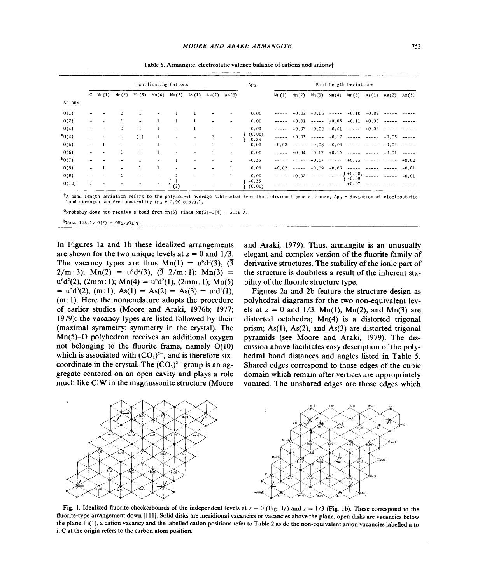|                           |                          | Coordinating Cations |                |        |                          |                              |                          |                          | $\Delta p_{\rm O}$       |                    | Bond Length Deviations |               |                       |         |                                                                                                                                                                                                                                                                                                                                                                                                                                                         |                    |          |         |
|---------------------------|--------------------------|----------------------|----------------|--------|--------------------------|------------------------------|--------------------------|--------------------------|--------------------------|--------------------|------------------------|---------------|-----------------------|---------|---------------------------------------------------------------------------------------------------------------------------------------------------------------------------------------------------------------------------------------------------------------------------------------------------------------------------------------------------------------------------------------------------------------------------------------------------------|--------------------|----------|---------|
|                           |                          | $C \ Mn(1)$          | Mn(2)          | Mn(3)  | Min(4)                   | Mn(5)                        | As(1)                    | As(2)                    | As(3)                    |                    | Mn(1)                  | Mn(2)         | Mn(3)                 | Mn(4)   | Mn(5)                                                                                                                                                                                                                                                                                                                                                                                                                                                   | As(1)              | As(2)    | As(3)   |
| Anions                    |                          |                      |                |        |                          |                              |                          |                          |                          |                    |                        |               |                       |         |                                                                                                                                                                                                                                                                                                                                                                                                                                                         |                    |          |         |
| 0(1)                      |                          |                      |                |        |                          |                              |                          |                          |                          | 0.00               |                        |               | $+0.02 + 0.06$ -----  |         | $-0.10$                                                                                                                                                                                                                                                                                                                                                                                                                                                 | $-0.02$            |          |         |
| O(2)                      | $\overline{\phantom{a}}$ |                      |                | $\sim$ |                          | 1                            | $\mathbf{1}$             | $\overline{\phantom{a}}$ |                          | 0.00               | -----                  |               | $+0.01$ ----- $+0.03$ |         |                                                                                                                                                                                                                                                                                                                                                                                                                                                         | $-0.11 + 0.00$     | $\cdots$ |         |
| 0(3)                      | $\blacksquare$           |                      |                |        | -1                       | $\overline{\phantom{a}}$     | 1                        | ٠                        | $\overline{\phantom{0}}$ | 0,00               | -----                  | $-0.07$       | $+0.02$               | $-0.01$ |                                                                                                                                                                                                                                                                                                                                                                                                                                                         | $--- +0.02$        |          |         |
| $\sigma$ <sub>0</sub> (4) | $\overline{\phantom{a}}$ |                      |                | (1)    | 1                        | $\overline{\phantom{a}}$     | $\overline{\phantom{a}}$ |                          |                          | (0, 00)<br>$-0.33$ |                        | $+0.03$       | ------                | $-0.17$ |                                                                                                                                                                                                                                                                                                                                                                                                                                                         | <b>Heads Serve</b> | $-0.03$  |         |
| 0(5)                      | $\overline{\phantom{0}}$ |                      |                |        | $\mathbf{1}$             | $\tilde{\phantom{a}}$        | $\overline{\phantom{0}}$ |                          | ۰                        | 0.00               | $-0.02$                | $\frac{1}{2}$ | $-0.08$               | $-0.04$ | $\frac{1}{2} \left( \frac{1}{2} \left( \frac{1}{2} \left( \frac{1}{2} \left( \frac{1}{2} \right) - \frac{1}{2} \left( \frac{1}{2} \right) \right) \right) + \frac{1}{2} \left( \frac{1}{2} \left( \frac{1}{2} \left( \frac{1}{2} \right) - \frac{1}{2} \left( \frac{1}{2} \right) \right) \right) + \frac{1}{2} \left( \frac{1}{2} \left( \frac{1}{2} \left( \frac{1}{2} \right) - \frac{1}{2} \left( \frac{1}{2} \right) \right) \right) + \frac{1}{2$ | $\cdots$           | $+0.04$  |         |
| 0(6)                      | ۰                        | $\blacksquare$       |                | 1      |                          | $\qquad \qquad \blacksquare$ | $\sim$                   |                          | $\overline{\phantom{0}}$ | 0.00               | ------                 |               |                       |         | $+0.04 -0.17 +0.16$ ----- ----                                                                                                                                                                                                                                                                                                                                                                                                                          |                    | $-0.01$  |         |
| $b_{0(7)}$                | ۰                        |                      | $\blacksquare$ |        | $\overline{\phantom{a}}$ | 1                            | ۰                        | $\overline{\phantom{a}}$ | $\mathbf{1}$             | $-0.33$            |                        |               | $+0.07$               |         | $--- +0.23$                                                                                                                                                                                                                                                                                                                                                                                                                                             |                    | $- - -$  | $+0.02$ |
| O(8)                      | $\overline{\phantom{a}}$ |                      | $\blacksquare$ |        | $\mathbf{1}$             | ٠                            | ٠                        | $\blacksquare$           |                          | 0.00               | $+0.02$                |               | $---  +0.09$          | $+0.03$ | $- - - - -$                                                                                                                                                                                                                                                                                                                                                                                                                                             | $\sim$ $\sim$      |          | $-0.01$ |
| O(9)                      | ۰                        |                      |                | $\sim$ | $\sim$                   | 2                            | $\sim$                   | ۰                        |                          | 0.00               | -----                  | $-0.02$       |                       |         | $+0.00,$<br>$-0.09$                                                                                                                                                                                                                                                                                                                                                                                                                                     |                    |          | $-0.01$ |
| 0(10)                     |                          |                      |                |        | $\sim$                   | $\frac{1}{2}$                |                          |                          |                          | $-0.33$<br>(0.00)  |                        |               |                       |         | $+0.07$                                                                                                                                                                                                                                                                                                                                                                                                                                                 |                    |          |         |

Table 6. Armangite: electrostatic valence balance of cations and anionst

 $^\dagger$ A bond length deviation refers to the polyhedral average subtracted from the individual bond distance,  $\Delta p_0$  = deviation of electrostatic bond strength sum from neutrality  $(p_0 = 2.00 e.s.u.)$ .

**a** probably does not receive a bond from  $M_n(3)$  since  $M_n(3)-O(4) = 3.19$  Å.

 **Most likely 0(7) =**  $OH_{2/3}O_{1/3}$ **.** 

In Figures Ia and Ib these idealized arrangements are shown for the two unique levels at  $z = 0$  and  $1/3$ . The vacancy types are thus  $Mn(1) = u^6d^2(3)$ ,  $(\overline{3})$  $2/m:3$ ); Mn(2) = u<sup>6</sup>d<sup>2</sup>(3), ( $\overline{3}$  2/m: 1); Mn(3) =  $u^{6}d^{2}(2)$ , (2mm: 1); Mn(4) =  $u^{6}d^{2}(1)$ , (2mm: 1); Mn(5)  $= u^{5}d^{3}(2)$ , (m: 1); As(1) = As(2) = As(3) =  $u^{3}d^{5}(1)$ , (m: I). Here the nomenclature adopts the procedure of earlier studies (Moore and Araki, 1976b; 1977; 1979): the vacancy types are listed followed by their (maximal symmetry: symmetry in the crystal). The  $Mn(5)-O$  polyhedron receives an additional oxygen not belonging to the fluorite frame, namely  $O(10)$ which is associated with  $(CO<sub>3</sub>)<sup>2-</sup>$ , and is therefore sixcoordinate in the crystal. The  $(CO<sub>3</sub>)<sup>2</sup>$  group is an aggregate centered on an open cavity and plays a role much like CIW in the magnussonite structure (Moore

and Araki, 1979). Thus, armangite is an unusually elegant and complex version of the fluorite family of derivative structures. The stability of the ionic part of the structure is doubtless a result of the inherent stability of the fluorite structure type.

Figures 2a and 2b feature the structure design as polyhedral diagrams for the two non-equivalent levels at  $z = 0$  and  $1/3$ . Mn(1), Mn(2), and Mn(3) are distorted octahedra; Mn(4) is a distorted trigonal prism;  $As(1)$ ,  $As(2)$ , and  $As(3)$  are distorted trigonal pyramids (see Moore and Araki, 1979). The discussion above facilitates easy description of the polyhedral bond distances and angles listed in Table 5. Shared edges correspond to those edges of the cubic domain which remain after vertices are appropriately vacated. The unshared edges are those edges which



Fig. 1. Idealized fluorite checkerboards of the independent levels at  $z = 0$  (Fig. 1a) and  $z = 1/3$  (Fig. 1b). These correspond to the fluorite-type arrangement down [III]. Solid disks are meridional vacancies or vacancies above the plane, open disks are vacancies below the plane.  $\square(1)$ , a cation vacancy and the labelled cation positions refer to Table 2 as do the non-equivalent anion vacancies labelled a to i. C at the origin refers to the carbon atom position.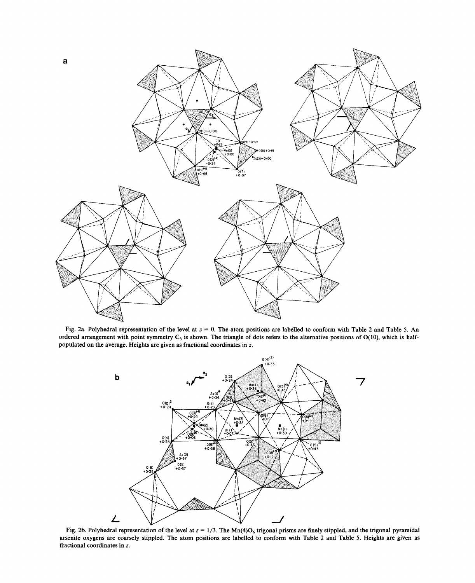

Fig. 2a. Polyhedral representation of the level at  $z = 0$ . The atom positions are labelled to conform with Table 2 and Table 5. An ordered arrangement with point symmetry  $C_3$  is shown. The triangle of dots refers to the alternative positions of  $O(10)$ , which is halfpopulated on the average. Heights are given as fractional coordinates in *z.*



Fig. 2b. Polyhedral representation of the level at  $z = 1/3$ . The Mn(4)O<sub>6</sub> trigonal prisms are finely stippled, and the trigonal pyramid arsenite oxygens are coarsely stippled. The atom positions are labelled to conform with Table 2 and Table 5. Heights are given as fractional coordinates in z.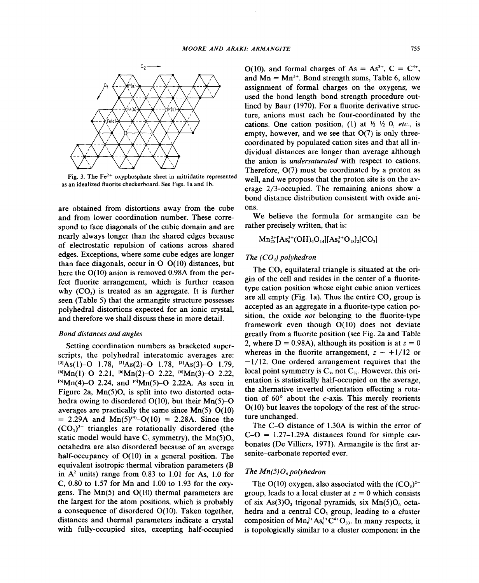

Fig. 3. The  $Fe<sup>2+</sup>$  oxyphosphate sheet in mitridatite represented as an idealized fluorite checkerboard. See Figs. la and lb.

are obtained from distortions away from the cube and from lower coordination number. These correspond to face diagonals of the cubic domain and are nearly always longer than the shared edges because of electrostatic repulsion of cations across shared edges. Exceptions, where some cube edges are longer than face diagonals, occur in  $O-O(10)$  distances, but here the  $O(10)$  anion is removed 0.98A from the perfect fluorite arrangement, which is further reason why  $(CO_3)$  is treated as an aggregate. It is further seen (Table 5) that the armangite structure possesses polyhedral distortions expected for an ionic crystal, and therefore we shall discuss these in more detail.

### *Bond distances and angles*

Setting coordination numbers as bracketed superscripts, the polyhedral interatomic averages are:  $^{[3]}As(1)-O$  1.78,  $^{[3]}As(2)-O$  1.78,  $^{[3]}As(3)-O$  1.79,  $^{[6]}$ Mn(1)-O 2.21,  $^{[6]}$ Mn(2)-O 2.22,  $^{[6]}$ Mn(3)-O 2.22,  $[6]$ Mn(4)-O 2.24, and  $[6]$ Mn(5)-O 2.22A. As seen in Figure 2a,  $Mn(5)O<sub>6</sub>$  is split into two distorted octahedra owing to disordered  $O(10)$ , but their Mn(5)-O averages are practically the same since Mn(5)-0(10)  $= 2.29$ A and Mn(5)<sup>(4)</sup>-O(10) = 2.28A. Since the  $(CO<sub>3</sub>)<sup>2-</sup>$  triangles are rotationally disordered (the static model would have C<sub>3</sub> symmetry), the Mn(5) $O_6$ octahedra are also disordered because of an average half-occupancy of  $O(10)$  in a general position. The equivalent isotropic thermal vibration parameters (B in  $A<sup>2</sup>$  units) range from 0.83 to 1.01 for As, 1.0 for C, 0.80 to 1.57 for Mn and 1.00 to 1.93 for the oxygens. The  $Mn(5)$  and  $O(10)$  thermal parameters are the largest for the atom positions, which is probably a consequence of disordered 0(10). Taken together, distances and thermal parameters indicate a crystal with fully-occupied sites, excepting half-occupied

O(10), and formal charges of As =  $As^{3+}$ , C =  $C^{4+}$ , and  $Mn = Mn^{2+}$ . Bond strength sums, Table 6, allow assignment of formal charges on the oxygens; we used the bond length-bond strength procedure outlined by Baur (1970). For a fluorite derivative structure, anions must each be four-coordinated by the cations. One cation position, (1) at  $h_2 h_3$  0, *etc.*, is empty, however, and we see that  $O(7)$  is only threecoordinated by populated cation sites and that all individual distances are longer than average although the anion is *undersaturated* with respect to cations. Therefore, 0(7) must be coordinated by a proton as well, and we propose that the proton site is on the average  $2/3$ -occupied. The remaining anions show a bond distance distribution consistent with oxide anions.

We believe the formula for armangite can be rather precisely written, that is:

$$
Mn_{26}^{2+}[As_{6}^{3+}(OH)_{4}O_{14}][As_{6}^{3+}O_{18}]_{2}[CO_{3}]
$$

## *The (CO]) polyhedron*

The  $CO<sub>3</sub>$  equilateral triangle is situated at the origin of the cell and resides in the center of a fluoritetype cation position whose eight cubic anion vertices are all empty (Fig. 1a). Thus the entire  $CO<sub>3</sub>$  group is accepted as an aggregate in a fluorite-type cation position, the oxide *not* belonging to the fluorite-type framework even though 0(10) does not deviate greatly from a fluorite position (see Fig. 2a and Table 2, where  $D = 0.98A$ , although its position is at  $z = 0$ whereas in the fluorite arrangement,  $z \sim +1/12$  or  $-1/12$ . One ordered arrangement requires that the local point symmetry is  $C_3$ , not  $C_3$ . However, this orientation is statistically half-occupied on the average, the alternative inverted orientation effecting a rotation of  $60^\circ$  about the c-axis. This merely reorients  $O(10)$  but leaves the topology of the rest of the structure unchanged.

The C-O distance of 1.30A is within the error of  $C-O = 1.27-1.29A$  distances found for simple carbonates (De Villiers, 1971). Armangite is the first arsenite-carbonate reported ever.

# *The*  $Mn(5)O_6$  *polyhedron*

The O(10) oxygen, also associated with the  $(CO<sub>3</sub>)<sup>2</sup>$ group, leads to a local cluster at  $z = 0$  which consists of six As(3) $O_3$  trigonal pyramids, six Mn(5) $O_6$  octahedra and a central  $CO<sub>3</sub>$  group, leading to a cluster composition of  $Mn_6^{2+}As_6^{3+}C^{4+}O_{33}$ . In many respects, it is topologically similar to a cluster component in the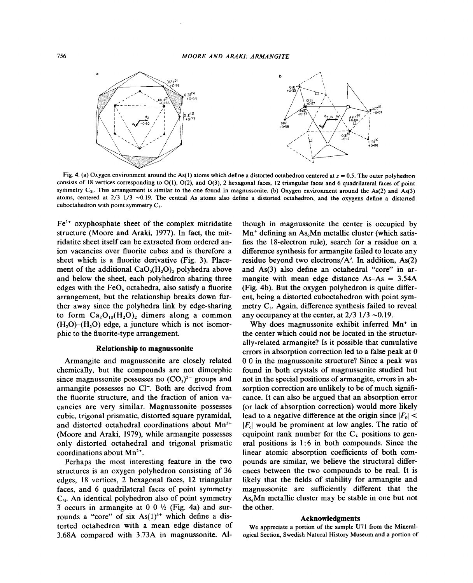

Fig. 4. (a) Oxygen environment around the As(1) atoms which define a distorted octahedron centered at  $z = 0.5$ . The outer polyhedron consists of 18 vertices corresponding to 0(1), 0(2), and 0(3), 2 hexagonal faces, 12 triangular faces and 6 quadrilateral faces of point symmetry  $C_{3i}$ . This arrangement is similar to the one found in magnussonite. (b) Oxygen environment around the As(2) and As(3) atoms, centered at 2/3 1/3 -0.19. The central As atoms also define a distorted octahedron, and the oxygens define a distorted cuboctahedron with point symmetry  $C_3$ .

 $Fe<sup>3+</sup>$  oxyphosphate sheet of the complex mitridatite structure (Moore and Araki, 1977). In fact, the mitridatite sheet itself can be extracted from ordered anion vacancies over fluorite cubes and is therefore a sheet which is a fluorite derivative (Fig. 3). Placement of the additional  $CaO<sub>3</sub>(H<sub>2</sub>O)$ , polyhedra above and below the sheet, each polyhedron sharing three edges with the  $FeO<sub>6</sub>$  octahedra, also satisfy a fluorite arrangement, but the relationship breaks down further away since the polyhedra link by edge-sharing to form  $Ca_2O_{10}(H_2O)$ , dimers along a common  $(H, O)$ – $(H, O)$  edge, a juncture which is not isomorphic to the fluorite-type arrangement.

### Relationship to magnussonite

Armangite and magnussonite are closely related chemically, but the compounds are not dimorphic since magnussonite possesses no  $(CO<sub>3</sub>)<sup>2-</sup>$  groups and armangite possesses no Cl<sup>-</sup>. Both are derived from the fluorite structure, and the fraction of anion vacancies are very similar. Magnussonite possesses cubic, trigonal prismatic, distorted square pyramidal, and distorted octahedral coordinations about Mn<sup>2+</sup> (Moore and Araki, 1979), while armangite possesses only distorted octahedral and trigonal prismatic coordinations about  $Mn^{2+}$ .

Perhaps the most interesting feature in the two structures is an oxygen polyhedron consisting of 36 edges, 18 vertices, 2 hexagonal faces, 12 triangular faces, and 6 quadrilateral faces of point symmetry  $C_{3i}$ . An identical polyhedron also of point symmetry  $\overline{3}$  occurs in armangite at 0 0  $\frac{1}{2}$  (Fig. 4a) and surrounds a "core" of six  $As(1)<sup>3+</sup>$  which define a distorted octahedron with a mean edge distance of 3.68A compared with 3.73A in magnussonite. Al-

though in magnussonite the center is occupied by  $Mn^{+}$  defining an As<sub>6</sub>Mn metallic cluster (which satisfies the I8-electron rule), search for a residue on a difference synthesis for armangite failed to locate any residue beyond two electrons/ $A^3$ . In addition, As(2) and As(3) also define an octahedral "core" in armangite with mean edge distance  $As-As = 3.54A$ (Fig. 4b). But the oxygen polyhedron is quite different, being a distorted cuboctahedron with point symmetry C,. Again, difference synthesis failed to reveal any occupancy at the center, at  $2/3$  1/3  $\sim$ 0.19.

Why does magnussonite exhibit inferred Mn<sup>+</sup> in the center which could not be located in the structurally-related armangite? Is it possible that cumulative errors in absorption correction led to a false peak at 0 o 0 in the magnussonite structure? Since a peak was found in both crystals of magnussonite studied but not in the special positions of armangite, errors in absorption correction are unlikely to be of much significance. It can also be argued that an absorption error (or lack of absorption correction) would more likely lead to a negative difference at the origin since  $|F_0|$  <  $|F_{\rm c}|$  would be prominent at low angles. The ratio of equipoint rank number for the  $C_{3i}$  positions to general positions is  $1:6$  in both compounds. Since the linear atomic absorption coefficients of both compounds are similar, we believe the structural differences between the two compounds to be real. It is likely that the fields of stability for armangite and magnussonite are sufficiently different that the As6Mn metallic cluster may be stable in one but not the other.

#### Acknowledgments

We appreciate a portion of the sample U71 from the Mineralogical Section, Swedish Natural History Museum and a portion of